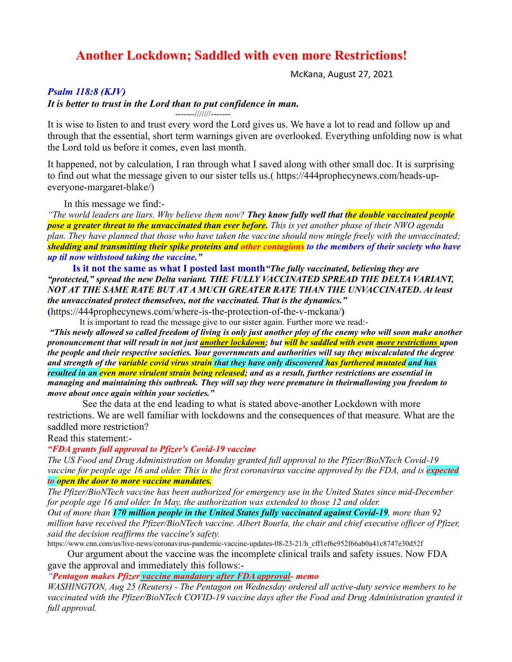# **Another Lockdown; Saddled with even more Restrictions!**

McKana, August 27, 2021

## *Psalm 118:8 (KJV)*

#### *It is better to trust in the Lord than to put confidence in man.*

-------///////-------

It is wise to listen to and trust every word the Lord gives us. We have a lot to read and follow up and through that the essential, short term warnings given are overlooked. Everything unfolding now is what the Lord told us before it comes, even last month.

It happened, not by calculation, I ran through what I saved along with other small doc. It is surprising to find out what the message given to our sister tells us.( [https://444prophecynews.com/heads-up](https://444prophecynews.com/heads-up-everyone-margaret-blake/)[everyone-margaret-blake/\)](https://444prophecynews.com/heads-up-everyone-margaret-blake/)

In this message we find:-

*"The world leaders are liars. Why believe them now? They know fully well that the double vaccinated people pose a greater threat to the unvaccinated than ever before. This is yet another phase of their NWO agenda plan. They have planned that those who have taken the vaccine should now mingle freely with the unvaccinated; shedding and transmitting their spike proteins and other contagions to the members of their society who have up til now withstood taking the vaccine."*

 **Is it not the same as what I posted last month***"The fully vaccinated, believing they are "protected," spread the new Delta variant. THE FULLY VACCINATED SPREAD THE DELTA VARIANT, NOT AT THE SAME RATE BUT AT A MUCH GREATER RATE THAN THE UNVACCINATED. At least the unvaccinated protect themselves, not the vaccinated. That is the dynamics."* 

**(**<https://444prophecynews.com/where-is-the-protection-of-the-v-mckana/>**)**

It is important to read the message give to our sister again. Further more we read:-

*"This newly allowed so called freedom of living is only just another ploy of the enemy who will soon make another pronouncement that will result in not just another lockdown; but will be saddled with even more restrictions upon the people and their respective societies. Your governments and authorities will say they miscalculated the degree and strength of the variable covid virus strain that they have only discovered has furthered mutated and has resulted in an even more virulent strain being released; and as a result, further restrictions are essential in managing and maintaining this outbreak. They will say they were premature in theirmallowing you freedom to move about once again within your societies."*

See the data at the end leading to what is stated above-another Lockdown with more restrictions. We are well familiar with lockdowns and the consequences of that measure. What are the saddled more restriction?

#### Read this statement:-

#### *"FDA grants full approval to Pfizer's Covid-19 vaccine*

*The US Food and Drug Administration [on Monday granted full approval](https://www.cnn.com/2021/08/23/health/fda-approval-pfizer-covid-vaccine/index.html) to the Pfizer/BioNTech Covid-19 vaccine for people age 16 and older. This is the first coronavirus vaccine approved by the FDA, and is expected to open the door to more vaccine mandates.*

*The Pfizer/BioNTech vaccine has been authorized for emergency use in the United States since mid-December for people age 16 and older. In May, the authorization was extended to those 12 and older.*

*Out of more than 170 million people in the United States fully vaccinated against Covid-19, more than 92 million have received the Pfizer/BioNTech vaccine. Albert Bourla, the chair and chief executive officer of Pfizer, said the decision reaffirms the vaccine's safety.*

[https://www.cnn.com/us/live-news/coronavirus-pandemic-vaccine-updates-08-23-21/h\\_cff1ef6e952f66ab0a41c8747e30d52f](https://www.cnn.com/us/live-news/coronavirus-pandemic-vaccine-updates-08-23-21/h_cff1ef6e952f66ab0a41c8747e30d52f)

 Our argument about the vaccine was the incomplete clinical trails and safety issues. Now FDA gave the approval and immediately this follows:-

### *"Pentagon makes Pfizer vaccine mandatory after FDA approval- memo*

*WASHINGTON, Aug 25 (Reuters) - The Pentagon on Wednesday ordered all active-duty service members to be*  vaccinated with the Pfizer/BioNTech COVID-19 vaccine days after the Food and Drug Administration granted it *full approval.*